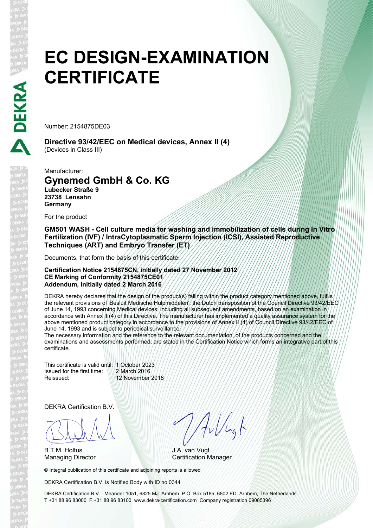# **EC DESIGN-EXAMINATION CERTIFICATE**

Number: 2154875DE03

**Directive 93/42/EEC on Medical devices, Annex II (4)**  (Devices in Class III)

Manufacturer:

### **Gynemed GmbH & Co. KG**

**Lubecker Straße 9 23738 Lensahn Germany**

For the product

**GM501 WASH - Cell culture media for washing and immobilization of cells during In Vitro Fertilization (IVF) / IntraCytoplasmatic Sperm Injection (ICSI), Assisted Reproductive Techniques (ART) and Embryo Transfer (ET)**

Documents, that form the basis of this certificate:

#### **Certification Notice 2154875CN, initially dated 27 November 2012 CE Marking of Conformity 2154875CE01 Addendum, initially dated 2 March 2016**

DEKRA hereby declares that the design of the product(s) falling within the product category mentioned above, fulfils the relevant provisions of 'Besluit Medische Hulpmiddelen', the Dutch transposition of the Council Directive 93/42/EEC of June 14, 1993 concerning Medical devices, including all subsequent amendments, based on an examination in accordance with Annex II (4) of this Directive. The manufacturer has implemented a quality assurance system for the above mentioned product category in accordance to the provisions of Annex II (4) of Council Directive 93/42/EEC of June 14, 1993 and is subject to periodical surveillance.

The necessary information and the reference to the relevant documentation, of the products concerned and the examinations and assessments performed, are stated in the Certification Notice which forms an integrative part of this certificate.

This certificate is valid until: 1 October 2023 Issued for the first time: 2 March 2016 Reissued: 12 November 2018

DEKRA Certification B.V.

BLAN

B.T.M. Holtus

Hillugh

J.A. van Vugt Managing Director **Certification Manager** 

© Integral publication of this certificate and adjoining reports is allowed

DEKRA Certification B.V. is Notified Body with ID no 0344

DEKRA Certification B.V. Meander 1051, 6825 MJ Arnhem P.O. Box 5185, 6802 ED Arnhem, The Netherlands T +31 88 96 83000 F +31 88 96 83100 www.dekra-certification.com Company registration 09085396